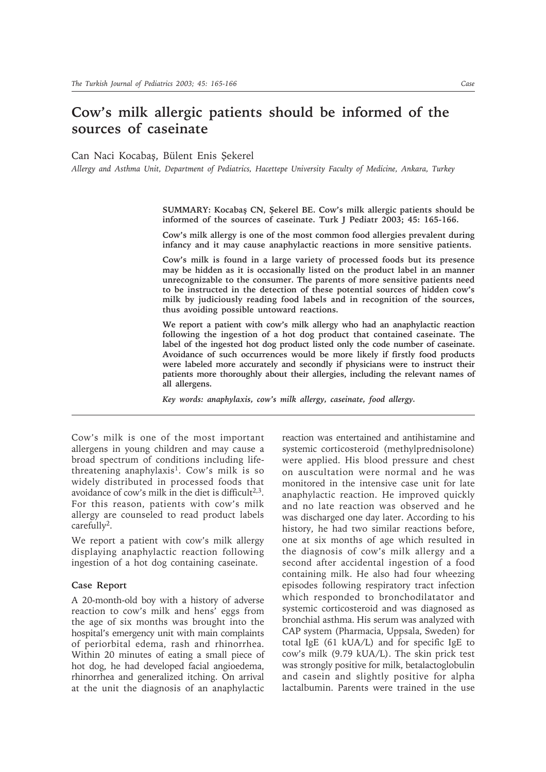## **Cow's milk allergic patients should be informed of the sources of caseinate**

Can Naci Kocabas, Bülent Enis Sekerel

*Allergy and Asthma Unit, Department of Pediatrics, Hacettepe University Faculty of Medicine, Ankara, Turkey*

SUMMARY: Kocabaş CN, Şekerel BE. Cow's milk allergic patients should be **informed of the sources of caseinate. Turk J Pediatr 2003; 45: 165-166.**

**Cow's milk allergy is one of the most common food allergies prevalent during infancy and it may cause anaphylactic reactions in more sensitive patients.**

**Cow's milk is found in a large variety of processed foods but its presence may be hidden as it is occasionally listed on the product label in an manner unrecognizable to the consumer. The parents of more sensitive patients need to be instructed in the detection of these potential sources of hidden cow's milk by judiciously reading food labels and in recognition of the sources, thus avoiding possible untoward reactions.**

**We report a patient with cow's milk allergy who had an anaphylactic reaction following the ingestion of a hot dog product that contained caseinate. The label of the ingested hot dog product listed only the code number of caseinate. Avoidance of such occurrences would be more likely if firstly food products were labeled more accurately and secondly if physicians were to instruct their patients more thoroughly about their allergies, including the relevant names of all allergens.**

*Key words: anaphylaxis, cow's milk allergy, caseinate, food allergy.*

Cow's milk is one of the most important allergens in young children and may cause a broad spectrum of conditions including lifethreatening anaphylaxis<sup>1</sup>. Cow's milk is so widely distributed in processed foods that avoidance of cow's milk in the diet is difficult<sup>2,3</sup>. For this reason, patients with cow's milk allergy are counseled to read product labels carefully<sup>2</sup>.

We report a patient with cow's milk allergy displaying anaphylactic reaction following ingestion of a hot dog containing caseinate.

## **Case Report**

A 20-month-old boy with a history of adverse reaction to cow's milk and hens' eggs from the age of six months was brought into the hospital's emergency unit with main complaints of periorbital edema, rash and rhinorrhea. Within 20 minutes of eating a small piece of hot dog, he had developed facial angioedema, rhinorrhea and generalized itching. On arrival at the unit the diagnosis of an anaphylactic reaction was entertained and antihistamine and systemic corticosteroid (methylprednisolone) were applied. His blood pressure and chest on auscultation were normal and he was monitored in the intensive case unit for late anaphylactic reaction. He improved quickly and no late reaction was observed and he was discharged one day later. According to his history, he had two similar reactions before, one at six months of age which resulted in the diagnosis of cow's milk allergy and a second after accidental ingestion of a food containing milk. He also had four wheezing episodes following respiratory tract infection which responded to bronchodilatator and systemic corticosteroid and was diagnosed as bronchial asthma. His serum was analyzed with CAP system (Pharmacia, Uppsala, Sweden) for total IgE (61 kUA/L) and for specific IgE to cow's milk (9.79 kUA/L). The skin prick test was strongly positive for milk, betalactoglobulin and casein and slightly positive for alpha lactalbumin. Parents were trained in the use